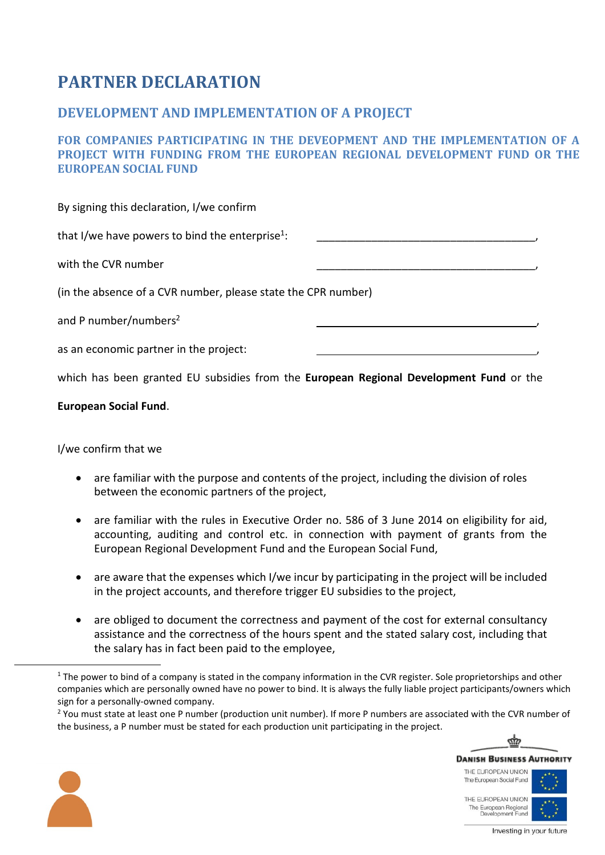## **PARTNER DECLARATION**

## **DEVELOPMENT AND IMPLEMENTATION OF A PROJECT**

**FOR COMPANIES PARTICIPATING IN THE DEVEOPMENT AND THE IMPLEMENTATION OF A PROJECT WITH FUNDING FROM THE EUROPEAN REGIONAL DEVELOPMENT FUND OR THE EUROPEAN SOCIAL FUND**

| By signing this declaration, I/we confirm                     |  |
|---------------------------------------------------------------|--|
| that I/we have powers to bind the enterprise <sup>1</sup> :   |  |
| with the CVR number                                           |  |
| (in the absence of a CVR number, please state the CPR number) |  |
| and P number/numbers <sup>2</sup>                             |  |
| as an economic partner in the project:                        |  |
|                                                               |  |

which has been granted EU subsidies from the **European Regional Development Fund** or the

## **European Social Fund**.

I/we confirm that we

- are familiar with the purpose and contents of the project, including the division of roles between the economic partners of the project,
- are familiar with the rules in Executive Order no. 586 of 3 June 2014 on eligibility for aid, accounting, auditing and control etc. in connection with payment of grants from the European Regional Development Fund and the European Social Fund,
- are aware that the expenses which I/we incur by participating in the project will be included in the project accounts, and therefore trigger EU subsidies to the project,
- are obliged to document the correctness and payment of the cost for external consultancy assistance and the correctness of the hours spent and the stated salary cost, including that the salary has in fact been paid to the employee,

<sup>&</sup>lt;sup>2</sup> You must state at least one P number (production unit number). If more P numbers are associated with the CVR number of the business, a P number must be stated for each production unit participating in the project.



THE ELIROPEAN LINION The European Social Fund THE EUROPEAN UNION The European Regional<br>Development Fund



Investing in your future

 $1$  The power to bind of a company is stated in the company information in the CVR register. Sole proprietorships and other companies which are personally owned have no power to bind. It is always the fully liable project participants/owners which sign for a personally-owned company.